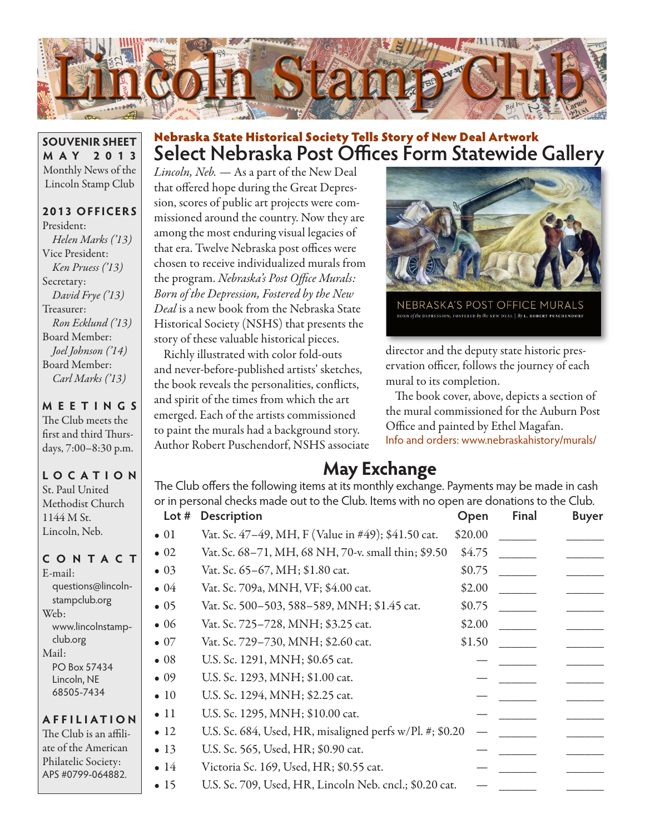

**SOUVENIR SHEET M AY 2013** Monthly News of the Lincoln Stamp Club

### **2013 OFFICERS**

President: *Helen Marks ('13)* Vice President: *Ken Pruess ('13)* Secretary: *David Frye ('13)* Treasurer: *Ron Ecklund ('13)* Board Member: *Joel Johnson ('14)* Board Member: *Carl Marks ('13)*

**MEETINGS** The Club meets the

first and third Thursdays, 7:00–8:30 p.m.

#### **LO C ATI O N** St. Paul United Methodist Church 1144 M St. Lincoln, Neb.

#### **CONTACT**

| $E$ -mail:         |
|--------------------|
| questions@lincoln- |
| stampclub.org      |
| Web:               |
| www.lincolnstamp-  |
| club.org           |
| Mail:              |
| PO Box 57434       |
| Lincoln, NE        |
| 68505-7434         |
|                    |
| <b>AFFILIATION</b> |

The Club is an affiliate of the American Philatelic Society: APS #0799-064882.

## **Select Nebraska Post Offices Form Statewide Gallery** Nebraska State Historical Society Tells Story of New Deal Artwork

*Lincoln, Neb. —* As a part of the New Deal that offered hope during the Great Depression, scores of public art projects were commissioned around the country. Now they are among the most enduring visual legacies of that era. Twelve Nebraska post offices were chosen to receive individualized murals from the program. *Nebraska's Post Office Murals: Born of the Depression, Fostered by the New Deal* is a new book from the Nebraska State Historical Society (NSHS) that presents the story of these valuable historical pieces.

Richly illustrated with color fold-outs and never-before-published artists' sketches, the book reveals the personalities, conflicts, and spirit of the times from which the art emerged. Each of the artists commissioned to paint the murals had a background story. Author Robert Puschendorf, NSHS associate



NEBRASKA'S POST OFFICE MURALS BORN of the DEPRESSION, FOSTERED by the NEW DEAL | By **L. ROBERT PUSCHENDOR**I

director and the deputy state historic preservation officer, follows the journey of each mural to its completion.

The book cover, above, depicts a section of the mural commissioned for the Auburn Post Office and painted by Ethel Magafan. Info and orders: www.nebraskahistory/murals/

## **May Exchange**

The Club offers the following items at its monthly exchange. Payments may be made in cash or in personal checks made out to the Club. Items with no open are donations to the Club. **Lot # Description Open Final Buyer**

| $\bullet$ 01 | Vat. Sc. 47-49, MH, F (Value in #49); \$41.50 cat.       | \$20.00 |  |  |
|--------------|----------------------------------------------------------|---------|--|--|
| $\bullet$ 02 | Vat. Sc. 68-71, MH, 68 NH, 70-v. small thin; \$9.50      | \$4.75  |  |  |
| $\bullet$ 03 | Vat. Sc. 65-67, MH; \$1.80 cat.                          | \$0.75  |  |  |
| $\bullet$ 04 | Vat. Sc. 709a, MNH, VF; \$4.00 cat.                      | \$2.00  |  |  |
| $\bullet$ 05 | Vat. Sc. 500-503, 588-589, MNH; \$1.45 cat.              | \$0.75  |  |  |
| $\bullet$ 06 | Vat. Sc. 725-728, MNH; \$3.25 cat.                       | \$2.00  |  |  |
| $\bullet$ 07 | Vat. Sc. 729-730, MNH; \$2.60 cat.                       | \$1.50  |  |  |
| $\bullet$ 08 | U.S. Sc. 1291, MNH; \$0.65 cat.                          |         |  |  |
| $\bullet$ 09 | U.S. Sc. 1293, MNH; \$1.00 cat.                          |         |  |  |
| $\bullet$ 10 | U.S. Sc. 1294, MNH; \$2.25 cat.                          |         |  |  |
| $\bullet$ 11 | U.S. Sc. 1295, MNH; \$10.00 cat.                         |         |  |  |
| $\bullet$ 12 | U.S. Sc. 684, Used, HR, misaligned perfs w/Pl. #; \$0.20 |         |  |  |
| $\bullet$ 13 | U.S. Sc. 565, Used, HR; \$0.90 cat.                      |         |  |  |
| $\bullet$ 14 | Victoria Sc. 169, Used, HR; \$0.55 cat.                  |         |  |  |
| $\bullet$ 15 | U.S. Sc. 709, Used, HR, Lincoln Neb. cncl.; \$0.20 cat.  |         |  |  |